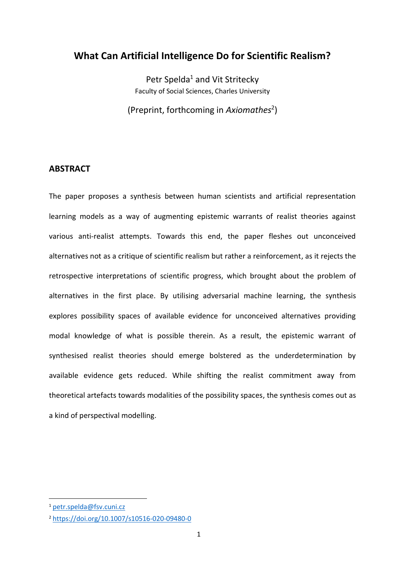# **What Can Artificial Intelligence Do for Scientific Realism?**

Petr Spelda<sup>1</sup> and Vit Stritecky Faculty of Social Sciences, Charles University

(Preprint, forthcoming in *Axiomathes*<sup>2</sup> )

# **ABSTRACT**

The paper proposes a synthesis between human scientists and artificial representation learning models as a way of augmenting epistemic warrants of realist theories against various anti-realist attempts. Towards this end, the paper fleshes out unconceived alternatives not as a critique of scientific realism but rather a reinforcement, as it rejects the retrospective interpretations of scientific progress, which brought about the problem of alternatives in the first place. By utilising adversarial machine learning, the synthesis explores possibility spaces of available evidence for unconceived alternatives providing modal knowledge of what is possible therein. As a result, the epistemic warrant of synthesised realist theories should emerge bolstered as the underdetermination by available evidence gets reduced. While shifting the realist commitment away from theoretical artefacts towards modalities of the possibility spaces, the synthesis comes out as a kind of perspectival modelling.

<sup>1</sup> [petr.spelda@fsv.cuni.cz](mailto:petr.spelda@fsv.cuni.cz)

<sup>2</sup> <https://doi.org/10.1007/s10516-020-09480-0>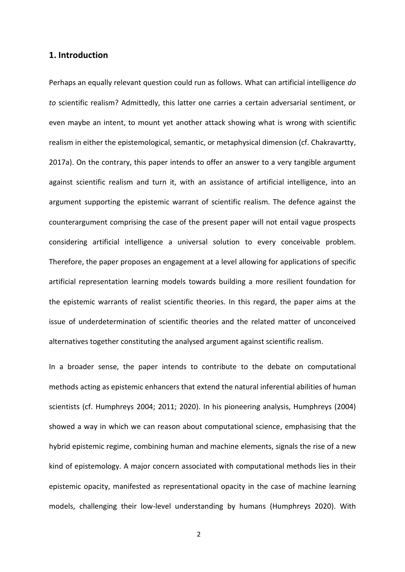#### **1. Introduction**

Perhaps an equally relevant question could run as follows. What can artificial intelligence *do to* scientific realism? Admittedly, this latter one carries a certain adversarial sentiment, or even maybe an intent, to mount yet another attack showing what is wrong with scientific realism in either the epistemological, semantic, or metaphysical dimension (cf. Chakravartty, 2017a). On the contrary, this paper intends to offer an answer to a very tangible argument against scientific realism and turn it, with an assistance of artificial intelligence, into an argument supporting the epistemic warrant of scientific realism. The defence against the counterargument comprising the case of the present paper will not entail vague prospects considering artificial intelligence a universal solution to every conceivable problem. Therefore, the paper proposes an engagement at a level allowing for applications of specific artificial representation learning models towards building a more resilient foundation for the epistemic warrants of realist scientific theories. In this regard, the paper aims at the issue of underdetermination of scientific theories and the related matter of unconceived alternatives together constituting the analysed argument against scientific realism.

In a broader sense, the paper intends to contribute to the debate on computational methods acting as epistemic enhancers that extend the natural inferential abilities of human scientists (cf. Humphreys 2004; 2011; 2020). In his pioneering analysis, Humphreys (2004) showed a way in which we can reason about computational science, emphasising that the hybrid epistemic regime, combining human and machine elements, signals the rise of a new kind of epistemology. A major concern associated with computational methods lies in their epistemic opacity, manifested as representational opacity in the case of machine learning models, challenging their low-level understanding by humans (Humphreys 2020). With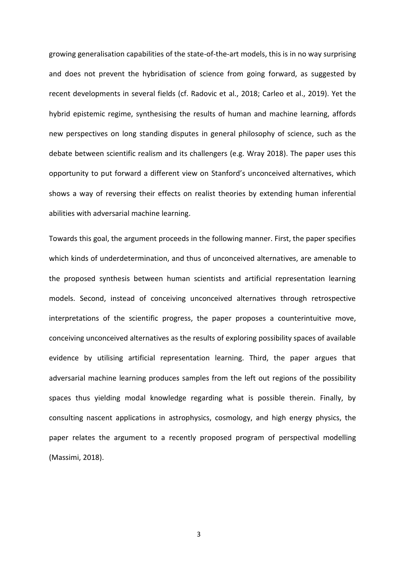growing generalisation capabilities of the state-of-the-art models, this is in no way surprising and does not prevent the hybridisation of science from going forward, as suggested by recent developments in several fields (cf. Radovic et al., 2018; Carleo et al., 2019). Yet the hybrid epistemic regime, synthesising the results of human and machine learning, affords new perspectives on long standing disputes in general philosophy of science, such as the debate between scientific realism and its challengers (e.g. Wray 2018). The paper uses this opportunity to put forward a different view on Stanford's unconceived alternatives, which shows a way of reversing their effects on realist theories by extending human inferential abilities with adversarial machine learning.

Towards this goal, the argument proceeds in the following manner. First, the paper specifies which kinds of underdetermination, and thus of unconceived alternatives, are amenable to the proposed synthesis between human scientists and artificial representation learning models. Second, instead of conceiving unconceived alternatives through retrospective interpretations of the scientific progress, the paper proposes a counterintuitive move, conceiving unconceived alternatives as the results of exploring possibility spaces of available evidence by utilising artificial representation learning. Third, the paper argues that adversarial machine learning produces samples from the left out regions of the possibility spaces thus yielding modal knowledge regarding what is possible therein. Finally, by consulting nascent applications in astrophysics, cosmology, and high energy physics, the paper relates the argument to a recently proposed program of perspectival modelling (Massimi, 2018).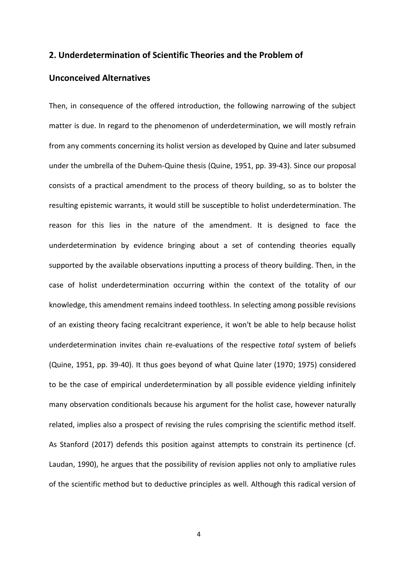### **2. Underdetermination of Scientific Theories and the Problem of**

## **Unconceived Alternatives**

Then, in consequence of the offered introduction, the following narrowing of the subject matter is due. In regard to the phenomenon of underdetermination, we will mostly refrain from any comments concerning its holist version as developed by Quine and later subsumed under the umbrella of the Duhem-Quine thesis (Quine, 1951, pp. 39-43). Since our proposal consists of a practical amendment to the process of theory building, so as to bolster the resulting epistemic warrants, it would still be susceptible to holist underdetermination. The reason for this lies in the nature of the amendment. It is designed to face the underdetermination by evidence bringing about a set of contending theories equally supported by the available observations inputting a process of theory building. Then, in the case of holist underdetermination occurring within the context of the totality of our knowledge, this amendment remains indeed toothless. In selecting among possible revisions of an existing theory facing recalcitrant experience, it won't be able to help because holist underdetermination invites chain re-evaluations of the respective *total* system of beliefs (Quine, 1951, pp. 39-40). It thus goes beyond of what Quine later (1970; 1975) considered to be the case of empirical underdetermination by all possible evidence yielding infinitely many observation conditionals because his argument for the holist case, however naturally related, implies also a prospect of revising the rules comprising the scientific method itself. As Stanford (2017) defends this position against attempts to constrain its pertinence (cf. Laudan, 1990), he argues that the possibility of revision applies not only to ampliative rules of the scientific method but to deductive principles as well. Although this radical version of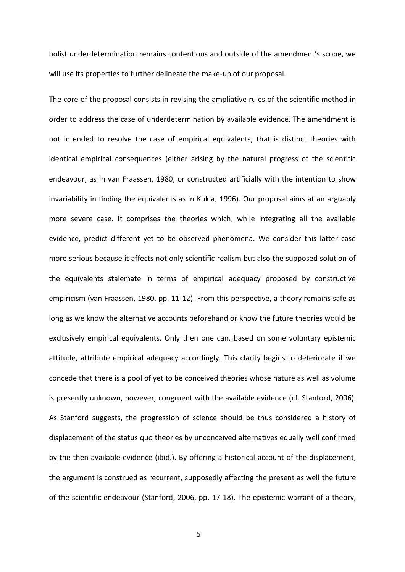holist underdetermination remains contentious and outside of the amendment's scope, we will use its properties to further delineate the make-up of our proposal.

The core of the proposal consists in revising the ampliative rules of the scientific method in order to address the case of underdetermination by available evidence. The amendment is not intended to resolve the case of empirical equivalents; that is distinct theories with identical empirical consequences (either arising by the natural progress of the scientific endeavour, as in van Fraassen, 1980, or constructed artificially with the intention to show invariability in finding the equivalents as in Kukla, 1996). Our proposal aims at an arguably more severe case. It comprises the theories which, while integrating all the available evidence, predict different yet to be observed phenomena. We consider this latter case more serious because it affects not only scientific realism but also the supposed solution of the equivalents stalemate in terms of empirical adequacy proposed by constructive empiricism (van Fraassen, 1980, pp. 11-12). From this perspective, a theory remains safe as long as we know the alternative accounts beforehand or know the future theories would be exclusively empirical equivalents. Only then one can, based on some voluntary epistemic attitude, attribute empirical adequacy accordingly. This clarity begins to deteriorate if we concede that there is a pool of yet to be conceived theories whose nature as well as volume is presently unknown, however, congruent with the available evidence (cf. Stanford, 2006). As Stanford suggests, the progression of science should be thus considered a history of displacement of the status quo theories by unconceived alternatives equally well confirmed by the then available evidence (ibid.). By offering a historical account of the displacement, the argument is construed as recurrent, supposedly affecting the present as well the future of the scientific endeavour (Stanford, 2006, pp. 17-18). The epistemic warrant of a theory,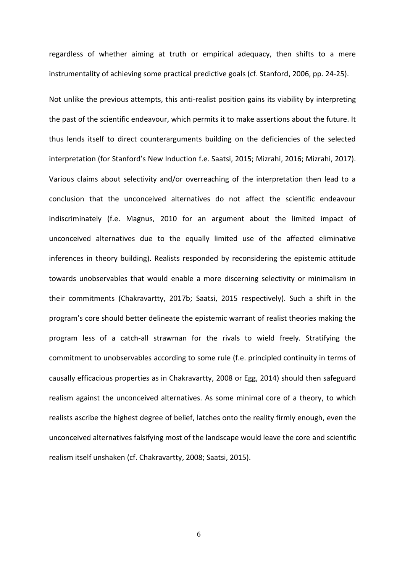regardless of whether aiming at truth or empirical adequacy, then shifts to a mere instrumentality of achieving some practical predictive goals (cf. Stanford, 2006, pp. 24-25).

Not unlike the previous attempts, this anti-realist position gains its viability by interpreting the past of the scientific endeavour, which permits it to make assertions about the future. It thus lends itself to direct counterarguments building on the deficiencies of the selected interpretation (for Stanford's New Induction f.e. Saatsi, 2015; Mizrahi, 2016; Mizrahi, 2017). Various claims about selectivity and/or overreaching of the interpretation then lead to a conclusion that the unconceived alternatives do not affect the scientific endeavour indiscriminately (f.e. Magnus, 2010 for an argument about the limited impact of unconceived alternatives due to the equally limited use of the affected eliminative inferences in theory building). Realists responded by reconsidering the epistemic attitude towards unobservables that would enable a more discerning selectivity or minimalism in their commitments (Chakravartty, 2017b; Saatsi, 2015 respectively). Such a shift in the program's core should better delineate the epistemic warrant of realist theories making the program less of a catch-all strawman for the rivals to wield freely. Stratifying the commitment to unobservables according to some rule (f.e. principled continuity in terms of causally efficacious properties as in Chakravartty, 2008 or Egg, 2014) should then safeguard realism against the unconceived alternatives. As some minimal core of a theory, to which realists ascribe the highest degree of belief, latches onto the reality firmly enough, even the unconceived alternatives falsifying most of the landscape would leave the core and scientific realism itself unshaken (cf. Chakravartty, 2008; Saatsi, 2015).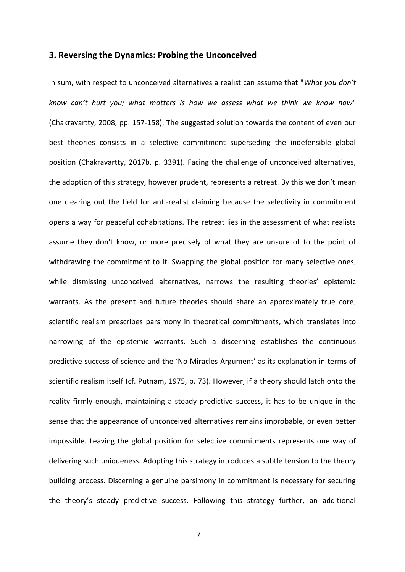#### **3. Reversing the Dynamics: Probing the Unconceived**

In sum, with respect to unconceived alternatives a realist can assume that "*What you don't know can't hurt you; what matters is how we assess what we think we know now*" (Chakravartty, 2008, pp. 157-158). The suggested solution towards the content of even our best theories consists in a selective commitment superseding the indefensible global position (Chakravartty, 2017b, p. 3391). Facing the challenge of unconceived alternatives, the adoption of this strategy, however prudent, represents a retreat. By this we don't mean one clearing out the field for anti-realist claiming because the selectivity in commitment opens a way for peaceful cohabitations. The retreat lies in the assessment of what realists assume they don't know, or more precisely of what they are unsure of to the point of withdrawing the commitment to it. Swapping the global position for many selective ones, while dismissing unconceived alternatives, narrows the resulting theories' epistemic warrants. As the present and future theories should share an approximately true core, scientific realism prescribes parsimony in theoretical commitments, which translates into narrowing of the epistemic warrants. Such a discerning establishes the continuous predictive success of science and the 'No Miracles Argument' as its explanation in terms of scientific realism itself (cf. Putnam, 1975, p. 73). However, if a theory should latch onto the reality firmly enough, maintaining a steady predictive success, it has to be unique in the sense that the appearance of unconceived alternatives remains improbable, or even better impossible. Leaving the global position for selective commitments represents one way of delivering such uniqueness. Adopting this strategy introduces a subtle tension to the theory building process. Discerning a genuine parsimony in commitment is necessary for securing the theory's steady predictive success. Following this strategy further, an additional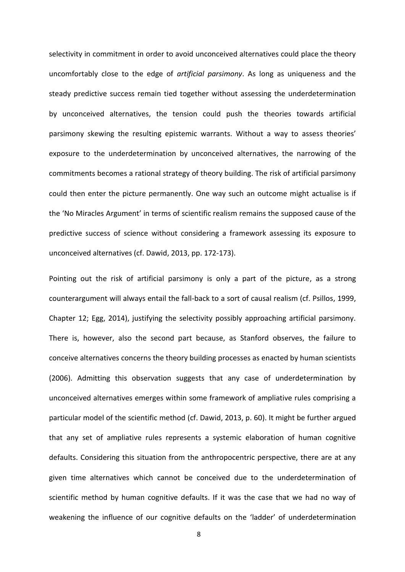selectivity in commitment in order to avoid unconceived alternatives could place the theory uncomfortably close to the edge of *artificial parsimony*. As long as uniqueness and the steady predictive success remain tied together without assessing the underdetermination by unconceived alternatives, the tension could push the theories towards artificial parsimony skewing the resulting epistemic warrants. Without a way to assess theories' exposure to the underdetermination by unconceived alternatives, the narrowing of the commitments becomes a rational strategy of theory building. The risk of artificial parsimony could then enter the picture permanently. One way such an outcome might actualise is if the 'No Miracles Argument' in terms of scientific realism remains the supposed cause of the predictive success of science without considering a framework assessing its exposure to unconceived alternatives (cf. Dawid, 2013, pp. 172-173).

Pointing out the risk of artificial parsimony is only a part of the picture, as a strong counterargument will always entail the fall-back to a sort of causal realism (cf. Psillos, 1999, Chapter 12; Egg, 2014), justifying the selectivity possibly approaching artificial parsimony. There is, however, also the second part because, as Stanford observes, the failure to conceive alternatives concerns the theory building processes as enacted by human scientists (2006). Admitting this observation suggests that any case of underdetermination by unconceived alternatives emerges within some framework of ampliative rules comprising a particular model of the scientific method (cf. Dawid, 2013, p. 60). It might be further argued that any set of ampliative rules represents a systemic elaboration of human cognitive defaults. Considering this situation from the anthropocentric perspective, there are at any given time alternatives which cannot be conceived due to the underdetermination of scientific method by human cognitive defaults. If it was the case that we had no way of weakening the influence of our cognitive defaults on the 'ladder' of underdetermination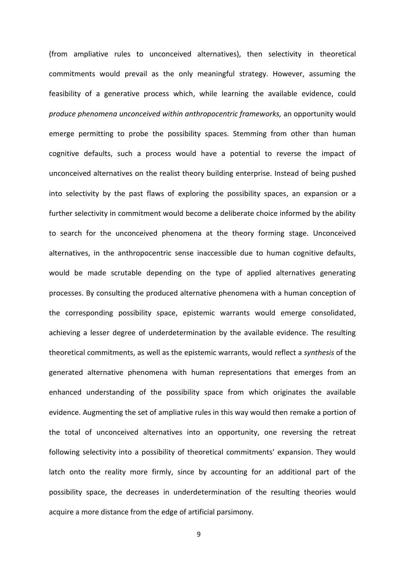(from ampliative rules to unconceived alternatives), then selectivity in theoretical commitments would prevail as the only meaningful strategy. However, assuming the feasibility of a generative process which, while learning the available evidence, could *produce phenomena unconceived within anthropocentric frameworks,* an opportunity would emerge permitting to probe the possibility spaces. Stemming from other than human cognitive defaults, such a process would have a potential to reverse the impact of unconceived alternatives on the realist theory building enterprise. Instead of being pushed into selectivity by the past flaws of exploring the possibility spaces, an expansion or a further selectivity in commitment would become a deliberate choice informed by the ability to search for the unconceived phenomena at the theory forming stage. Unconceived alternatives, in the anthropocentric sense inaccessible due to human cognitive defaults, would be made scrutable depending on the type of applied alternatives generating processes. By consulting the produced alternative phenomena with a human conception of the corresponding possibility space, epistemic warrants would emerge consolidated, achieving a lesser degree of underdetermination by the available evidence. The resulting theoretical commitments, as well as the epistemic warrants, would reflect a *synthesis* of the generated alternative phenomena with human representations that emerges from an enhanced understanding of the possibility space from which originates the available evidence. Augmenting the set of ampliative rules in this way would then remake a portion of the total of unconceived alternatives into an opportunity, one reversing the retreat following selectivity into a possibility of theoretical commitments' expansion. They would latch onto the reality more firmly, since by accounting for an additional part of the possibility space, the decreases in underdetermination of the resulting theories would acquire a more distance from the edge of artificial parsimony.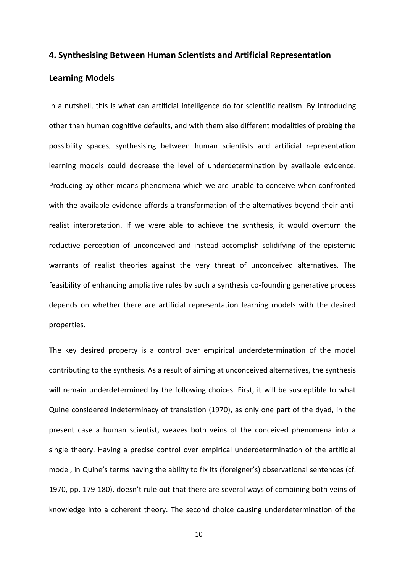### **4. Synthesising Between Human Scientists and Artificial Representation**

#### **Learning Models**

In a nutshell, this is what can artificial intelligence do for scientific realism. By introducing other than human cognitive defaults, and with them also different modalities of probing the possibility spaces, synthesising between human scientists and artificial representation learning models could decrease the level of underdetermination by available evidence. Producing by other means phenomena which we are unable to conceive when confronted with the available evidence affords a transformation of the alternatives beyond their antirealist interpretation. If we were able to achieve the synthesis, it would overturn the reductive perception of unconceived and instead accomplish solidifying of the epistemic warrants of realist theories against the very threat of unconceived alternatives. The feasibility of enhancing ampliative rules by such a synthesis co-founding generative process depends on whether there are artificial representation learning models with the desired properties.

The key desired property is a control over empirical underdetermination of the model contributing to the synthesis. As a result of aiming at unconceived alternatives, the synthesis will remain underdetermined by the following choices. First, it will be susceptible to what Quine considered indeterminacy of translation (1970), as only one part of the dyad, in the present case a human scientist, weaves both veins of the conceived phenomena into a single theory. Having a precise control over empirical underdetermination of the artificial model, in Quine's terms having the ability to fix its (foreigner's) observational sentences (cf. 1970, pp. 179-180), doesn't rule out that there are several ways of combining both veins of knowledge into a coherent theory. The second choice causing underdetermination of the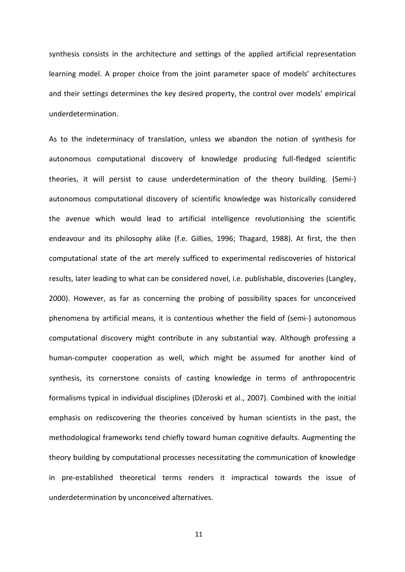synthesis consists in the architecture and settings of the applied artificial representation learning model. A proper choice from the joint parameter space of models' architectures and their settings determines the key desired property, the control over models' empirical underdetermination.

As to the indeterminacy of translation, unless we abandon the notion of synthesis for autonomous computational discovery of knowledge producing full-fledged scientific theories, it will persist to cause underdetermination of the theory building. (Semi-) autonomous computational discovery of scientific knowledge was historically considered the avenue which would lead to artificial intelligence revolutionising the scientific endeavour and its philosophy alike (f.e. Gillies, 1996; Thagard, 1988). At first, the then computational state of the art merely sufficed to experimental rediscoveries of historical results, later leading to what can be considered novel, i.e. publishable, discoveries (Langley, 2000). However, as far as concerning the probing of possibility spaces for unconceived phenomena by artificial means, it is contentious whether the field of (semi-) autonomous computational discovery might contribute in any substantial way. Although professing a human-computer cooperation as well, which might be assumed for another kind of synthesis, its cornerstone consists of casting knowledge in terms of anthropocentric formalisms typical in individual disciplines (Džeroski et al., 2007). Combined with the initial emphasis on rediscovering the theories conceived by human scientists in the past, the methodological frameworks tend chiefly toward human cognitive defaults. Augmenting the theory building by computational processes necessitating the communication of knowledge in pre-established theoretical terms renders it impractical towards the issue of underdetermination by unconceived alternatives.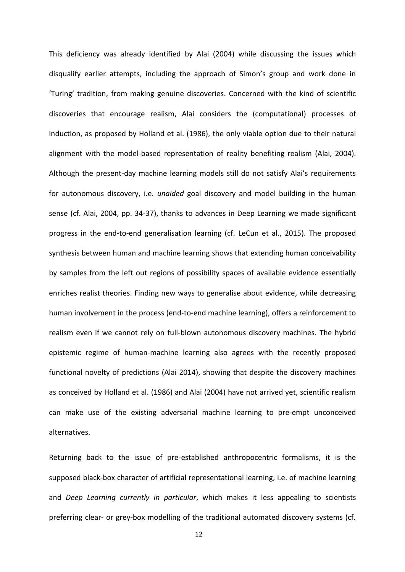This deficiency was already identified by Alai (2004) while discussing the issues which disqualify earlier attempts, including the approach of Simon's group and work done in 'Turing' tradition, from making genuine discoveries. Concerned with the kind of scientific discoveries that encourage realism, Alai considers the (computational) processes of induction, as proposed by Holland et al. (1986), the only viable option due to their natural alignment with the model-based representation of reality benefiting realism (Alai, 2004). Although the present-day machine learning models still do not satisfy Alai's requirements for autonomous discovery, i.e. *unaided* goal discovery and model building in the human sense (cf. Alai, 2004, pp. 34-37), thanks to advances in Deep Learning we made significant progress in the end-to-end generalisation learning (cf. LeCun et al., 2015). The proposed synthesis between human and machine learning shows that extending human conceivability by samples from the left out regions of possibility spaces of available evidence essentially enriches realist theories. Finding new ways to generalise about evidence, while decreasing human involvement in the process (end-to-end machine learning), offers a reinforcement to realism even if we cannot rely on full-blown autonomous discovery machines. The hybrid epistemic regime of human-machine learning also agrees with the recently proposed functional novelty of predictions (Alai 2014), showing that despite the discovery machines as conceived by Holland et al. (1986) and Alai (2004) have not arrived yet, scientific realism can make use of the existing adversarial machine learning to pre-empt unconceived alternatives.

Returning back to the issue of pre-established anthropocentric formalisms, it is the supposed black-box character of artificial representational learning, i.e. of machine learning and *Deep Learning currently in particular*, which makes it less appealing to scientists preferring clear- or grey-box modelling of the traditional automated discovery systems (cf.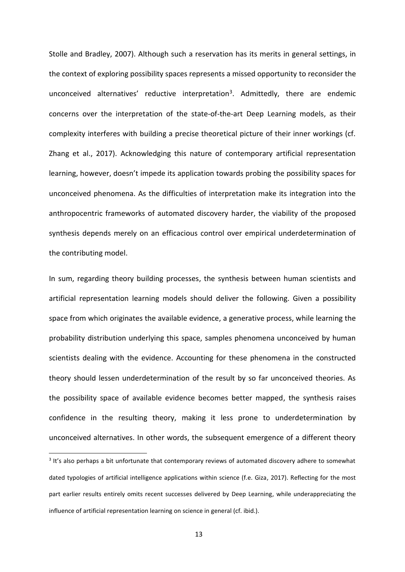Stolle and Bradley, 2007). Although such a reservation has its merits in general settings, in the context of exploring possibility spaces represents a missed opportunity to reconsider the unconceived alternatives' reductive interpretation<sup>3</sup>. Admittedly, there are endemic concerns over the interpretation of the state-of-the-art Deep Learning models, as their complexity interferes with building a precise theoretical picture of their inner workings (cf. Zhang et al., 2017). Acknowledging this nature of contemporary artificial representation learning, however, doesn't impede its application towards probing the possibility spaces for unconceived phenomena. As the difficulties of interpretation make its integration into the anthropocentric frameworks of automated discovery harder, the viability of the proposed synthesis depends merely on an efficacious control over empirical underdetermination of the contributing model.

In sum, regarding theory building processes, the synthesis between human scientists and artificial representation learning models should deliver the following. Given a possibility space from which originates the available evidence, a generative process, while learning the probability distribution underlying this space, samples phenomena unconceived by human scientists dealing with the evidence. Accounting for these phenomena in the constructed theory should lessen underdetermination of the result by so far unconceived theories. As the possibility space of available evidence becomes better mapped, the synthesis raises confidence in the resulting theory, making it less prone to underdetermination by unconceived alternatives. In other words, the subsequent emergence of a different theory

<sup>&</sup>lt;sup>3</sup> It's also perhaps a bit unfortunate that contemporary reviews of automated discovery adhere to somewhat dated typologies of artificial intelligence applications within science (f.e. Giza, 2017). Reflecting for the most part earlier results entirely omits recent successes delivered by Deep Learning, while underappreciating the influence of artificial representation learning on science in general (cf. ibid.).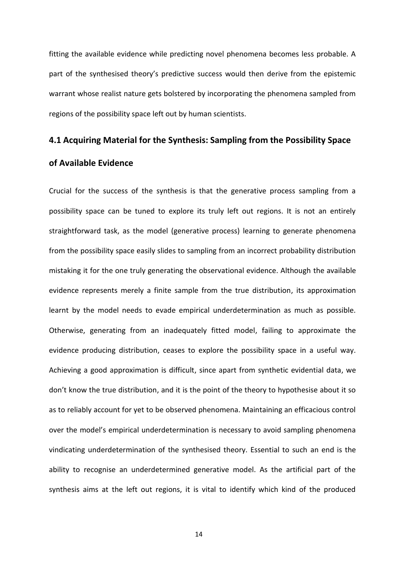fitting the available evidence while predicting novel phenomena becomes less probable. A part of the synthesised theory's predictive success would then derive from the epistemic warrant whose realist nature gets bolstered by incorporating the phenomena sampled from regions of the possibility space left out by human scientists.

### **4.1 Acquiring Material for the Synthesis: Sampling from the Possibility Space**

### **of Available Evidence**

Crucial for the success of the synthesis is that the generative process sampling from a possibility space can be tuned to explore its truly left out regions. It is not an entirely straightforward task, as the model (generative process) learning to generate phenomena from the possibility space easily slides to sampling from an incorrect probability distribution mistaking it for the one truly generating the observational evidence. Although the available evidence represents merely a finite sample from the true distribution, its approximation learnt by the model needs to evade empirical underdetermination as much as possible. Otherwise, generating from an inadequately fitted model, failing to approximate the evidence producing distribution, ceases to explore the possibility space in a useful way. Achieving a good approximation is difficult, since apart from synthetic evidential data, we don't know the true distribution, and it is the point of the theory to hypothesise about it so as to reliably account for yet to be observed phenomena. Maintaining an efficacious control over the model's empirical underdetermination is necessary to avoid sampling phenomena vindicating underdetermination of the synthesised theory. Essential to such an end is the ability to recognise an underdetermined generative model. As the artificial part of the synthesis aims at the left out regions, it is vital to identify which kind of the produced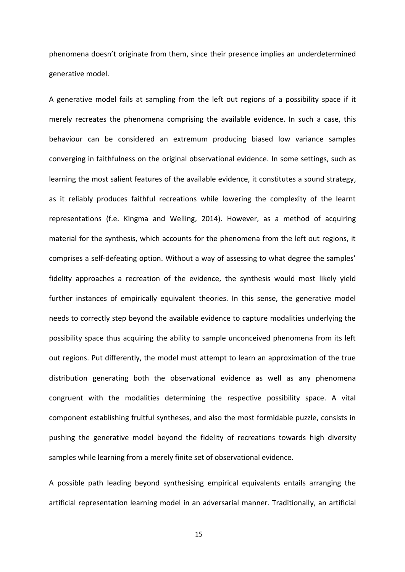phenomena doesn't originate from them, since their presence implies an underdetermined generative model.

A generative model fails at sampling from the left out regions of a possibility space if it merely recreates the phenomena comprising the available evidence. In such a case, this behaviour can be considered an extremum producing biased low variance samples converging in faithfulness on the original observational evidence. In some settings, such as learning the most salient features of the available evidence, it constitutes a sound strategy, as it reliably produces faithful recreations while lowering the complexity of the learnt representations (f.e. Kingma and Welling, 2014). However, as a method of acquiring material for the synthesis, which accounts for the phenomena from the left out regions, it comprises a self-defeating option. Without a way of assessing to what degree the samples' fidelity approaches a recreation of the evidence, the synthesis would most likely yield further instances of empirically equivalent theories. In this sense, the generative model needs to correctly step beyond the available evidence to capture modalities underlying the possibility space thus acquiring the ability to sample unconceived phenomena from its left out regions. Put differently, the model must attempt to learn an approximation of the true distribution generating both the observational evidence as well as any phenomena congruent with the modalities determining the respective possibility space. A vital component establishing fruitful syntheses, and also the most formidable puzzle, consists in pushing the generative model beyond the fidelity of recreations towards high diversity samples while learning from a merely finite set of observational evidence.

A possible path leading beyond synthesising empirical equivalents entails arranging the artificial representation learning model in an adversarial manner. Traditionally, an artificial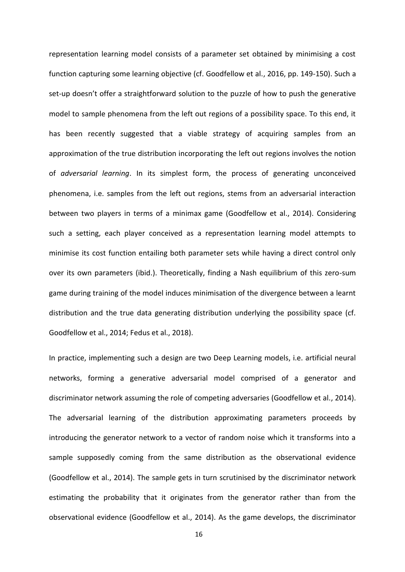representation learning model consists of a parameter set obtained by minimising a cost function capturing some learning objective (cf. Goodfellow et al., 2016, pp. 149-150). Such a set-up doesn't offer a straightforward solution to the puzzle of how to push the generative model to sample phenomena from the left out regions of a possibility space. To this end, it has been recently suggested that a viable strategy of acquiring samples from an approximation of the true distribution incorporating the left out regions involves the notion of *adversarial learning*. In its simplest form, the process of generating unconceived phenomena, i.e. samples from the left out regions, stems from an adversarial interaction between two players in terms of a minimax game (Goodfellow et al., 2014). Considering such a setting, each player conceived as a representation learning model attempts to minimise its cost function entailing both parameter sets while having a direct control only over its own parameters (ibid.). Theoretically, finding a Nash equilibrium of this zero-sum game during training of the model induces minimisation of the divergence between a learnt distribution and the true data generating distribution underlying the possibility space (cf. Goodfellow et al., 2014; Fedus et al., 2018).

In practice, implementing such a design are two Deep Learning models, i.e. artificial neural networks, forming a generative adversarial model comprised of a generator and discriminator network assuming the role of competing adversaries (Goodfellow et al., 2014). The adversarial learning of the distribution approximating parameters proceeds by introducing the generator network to a vector of random noise which it transforms into a sample supposedly coming from the same distribution as the observational evidence (Goodfellow et al., 2014). The sample gets in turn scrutinised by the discriminator network estimating the probability that it originates from the generator rather than from the observational evidence (Goodfellow et al., 2014). As the game develops, the discriminator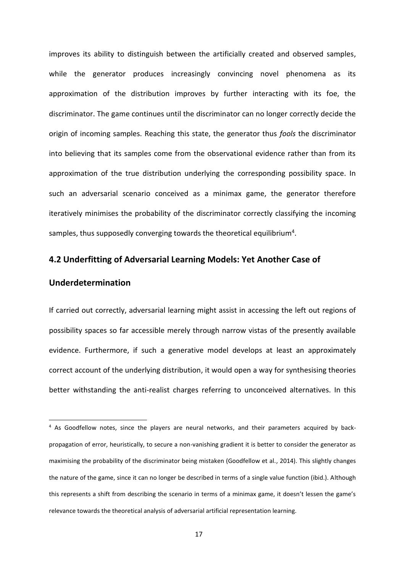improves its ability to distinguish between the artificially created and observed samples, while the generator produces increasingly convincing novel phenomena as its approximation of the distribution improves by further interacting with its foe, the discriminator. The game continues until the discriminator can no longer correctly decide the origin of incoming samples. Reaching this state, the generator thus *fools* the discriminator into believing that its samples come from the observational evidence rather than from its approximation of the true distribution underlying the corresponding possibility space. In such an adversarial scenario conceived as a minimax game, the generator therefore iteratively minimises the probability of the discriminator correctly classifying the incoming samples, thus supposedly converging towards the theoretical equilibrium<sup>4</sup>.

#### **4.2 Underfitting of Adversarial Learning Models: Yet Another Case of**

### **Underdetermination**

If carried out correctly, adversarial learning might assist in accessing the left out regions of possibility spaces so far accessible merely through narrow vistas of the presently available evidence. Furthermore, if such a generative model develops at least an approximately correct account of the underlying distribution, it would open a way for synthesising theories better withstanding the anti-realist charges referring to unconceived alternatives. In this

<sup>&</sup>lt;sup>4</sup> As Goodfellow notes, since the players are neural networks, and their parameters acquired by backpropagation of error, heuristically, to secure a non-vanishing gradient it is better to consider the generator as maximising the probability of the discriminator being mistaken (Goodfellow et al., 2014). This slightly changes the nature of the game, since it can no longer be described in terms of a single value function (ibid.). Although this represents a shift from describing the scenario in terms of a minimax game, it doesn't lessen the game's relevance towards the theoretical analysis of adversarial artificial representation learning.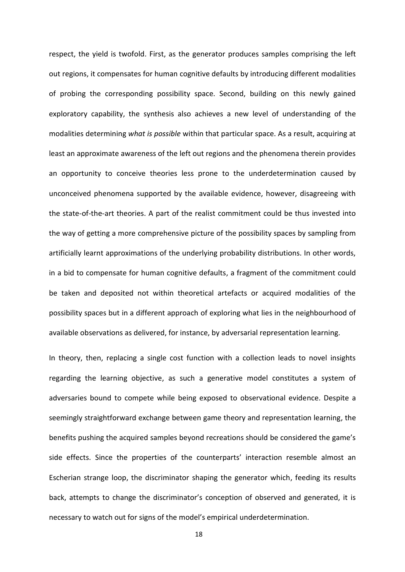respect, the yield is twofold. First, as the generator produces samples comprising the left out regions, it compensates for human cognitive defaults by introducing different modalities of probing the corresponding possibility space. Second, building on this newly gained exploratory capability, the synthesis also achieves a new level of understanding of the modalities determining *what is possible* within that particular space. As a result, acquiring at least an approximate awareness of the left out regions and the phenomena therein provides an opportunity to conceive theories less prone to the underdetermination caused by unconceived phenomena supported by the available evidence, however, disagreeing with the state-of-the-art theories. A part of the realist commitment could be thus invested into the way of getting a more comprehensive picture of the possibility spaces by sampling from artificially learnt approximations of the underlying probability distributions. In other words, in a bid to compensate for human cognitive defaults, a fragment of the commitment could be taken and deposited not within theoretical artefacts or acquired modalities of the possibility spaces but in a different approach of exploring what lies in the neighbourhood of available observations as delivered, for instance, by adversarial representation learning.

In theory, then, replacing a single cost function with a collection leads to novel insights regarding the learning objective, as such a generative model constitutes a system of adversaries bound to compete while being exposed to observational evidence. Despite a seemingly straightforward exchange between game theory and representation learning, the benefits pushing the acquired samples beyond recreations should be considered the game's side effects. Since the properties of the counterparts' interaction resemble almost an Escherian strange loop, the discriminator shaping the generator which, feeding its results back, attempts to change the discriminator's conception of observed and generated, it is necessary to watch out for signs of the model's empirical underdetermination.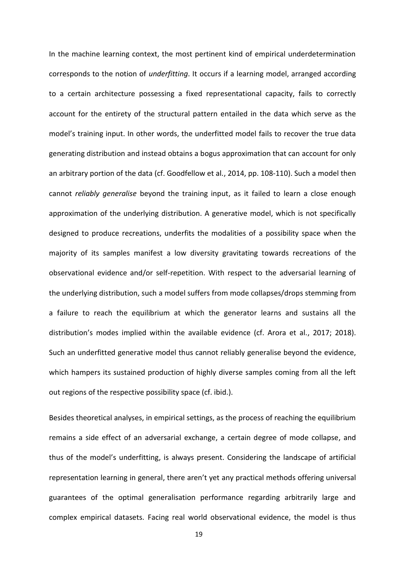In the machine learning context, the most pertinent kind of empirical underdetermination corresponds to the notion of *underfitting*. It occurs if a learning model, arranged according to a certain architecture possessing a fixed representational capacity, fails to correctly account for the entirety of the structural pattern entailed in the data which serve as the model's training input. In other words, the underfitted model fails to recover the true data generating distribution and instead obtains a bogus approximation that can account for only an arbitrary portion of the data (cf. Goodfellow et al., 2014, pp. 108-110). Such a model then cannot *reliably generalise* beyond the training input, as it failed to learn a close enough approximation of the underlying distribution. A generative model, which is not specifically designed to produce recreations, underfits the modalities of a possibility space when the majority of its samples manifest a low diversity gravitating towards recreations of the observational evidence and/or self-repetition. With respect to the adversarial learning of the underlying distribution, such a model suffers from mode collapses/drops stemming from a failure to reach the equilibrium at which the generator learns and sustains all the distribution's modes implied within the available evidence (cf. Arora et al., 2017; 2018). Such an underfitted generative model thus cannot reliably generalise beyond the evidence, which hampers its sustained production of highly diverse samples coming from all the left out regions of the respective possibility space (cf. ibid.).

Besides theoretical analyses, in empirical settings, as the process of reaching the equilibrium remains a side effect of an adversarial exchange, a certain degree of mode collapse, and thus of the model's underfitting, is always present. Considering the landscape of artificial representation learning in general, there aren't yet any practical methods offering universal guarantees of the optimal generalisation performance regarding arbitrarily large and complex empirical datasets. Facing real world observational evidence, the model is thus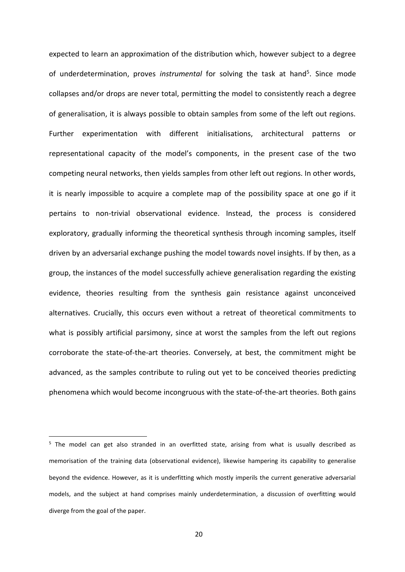expected to learn an approximation of the distribution which, however subject to a degree of underdetermination, proves *instrumental* for solving the task at hand<sup>5</sup>. Since mode collapses and/or drops are never total, permitting the model to consistently reach a degree of generalisation, it is always possible to obtain samples from some of the left out regions. Further experimentation with different initialisations, architectural patterns or representational capacity of the model's components, in the present case of the two competing neural networks, then yields samples from other left out regions. In other words, it is nearly impossible to acquire a complete map of the possibility space at one go if it pertains to non-trivial observational evidence. Instead, the process is considered exploratory, gradually informing the theoretical synthesis through incoming samples, itself driven by an adversarial exchange pushing the model towards novel insights. If by then, as a group, the instances of the model successfully achieve generalisation regarding the existing evidence, theories resulting from the synthesis gain resistance against unconceived alternatives. Crucially, this occurs even without a retreat of theoretical commitments to what is possibly artificial parsimony, since at worst the samples from the left out regions corroborate the state-of-the-art theories. Conversely, at best, the commitment might be advanced, as the samples contribute to ruling out yet to be conceived theories predicting phenomena which would become incongruous with the state-of-the-art theories. Both gains

<sup>&</sup>lt;sup>5</sup> The model can get also stranded in an overfitted state, arising from what is usually described as memorisation of the training data (observational evidence), likewise hampering its capability to generalise beyond the evidence. However, as it is underfitting which mostly imperils the current generative adversarial models, and the subject at hand comprises mainly underdetermination, a discussion of overfitting would diverge from the goal of the paper.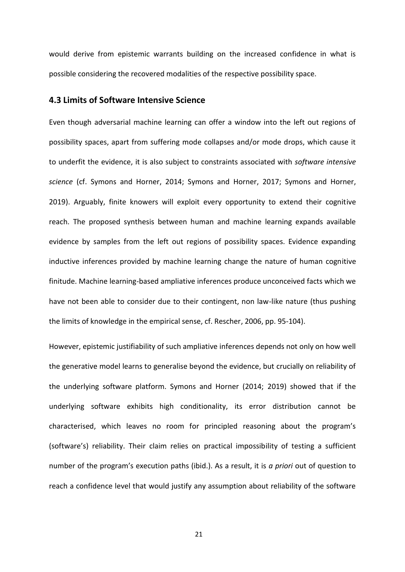would derive from epistemic warrants building on the increased confidence in what is possible considering the recovered modalities of the respective possibility space.

## **4.3 Limits of Software Intensive Science**

Even though adversarial machine learning can offer a window into the left out regions of possibility spaces, apart from suffering mode collapses and/or mode drops, which cause it to underfit the evidence, it is also subject to constraints associated with *software intensive science* (cf. Symons and Horner, 2014; Symons and Horner, 2017; Symons and Horner, 2019). Arguably, finite knowers will exploit every opportunity to extend their cognitive reach. The proposed synthesis between human and machine learning expands available evidence by samples from the left out regions of possibility spaces. Evidence expanding inductive inferences provided by machine learning change the nature of human cognitive finitude. Machine learning-based ampliative inferences produce unconceived facts which we have not been able to consider due to their contingent, non law-like nature (thus pushing the limits of knowledge in the empirical sense, cf. Rescher, 2006, pp. 95-104).

However, epistemic justifiability of such ampliative inferences depends not only on how well the generative model learns to generalise beyond the evidence, but crucially on reliability of the underlying software platform. Symons and Horner (2014; 2019) showed that if the underlying software exhibits high conditionality, its error distribution cannot be characterised, which leaves no room for principled reasoning about the program's (software's) reliability. Their claim relies on practical impossibility of testing a sufficient number of the program's execution paths (ibid.). As a result, it is *a priori* out of question to reach a confidence level that would justify any assumption about reliability of the software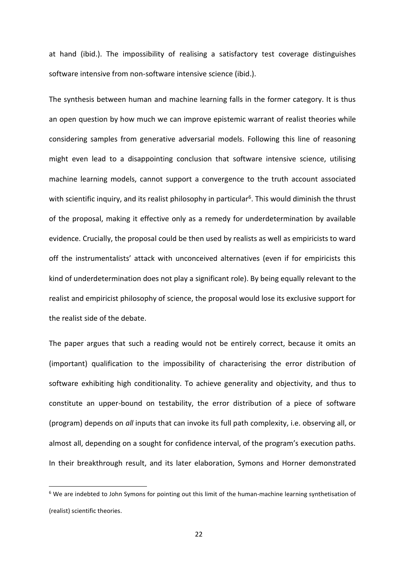at hand (ibid.). The impossibility of realising a satisfactory test coverage distinguishes software intensive from non-software intensive science (ibid.).

The synthesis between human and machine learning falls in the former category. It is thus an open question by how much we can improve epistemic warrant of realist theories while considering samples from generative adversarial models. Following this line of reasoning might even lead to a disappointing conclusion that software intensive science, utilising machine learning models, cannot support a convergence to the truth account associated with scientific inquiry, and its realist philosophy in particular<sup>6</sup>. This would diminish the thrust of the proposal, making it effective only as a remedy for underdetermination by available evidence. Crucially, the proposal could be then used by realists as well as empiricists to ward off the instrumentalists' attack with unconceived alternatives (even if for empiricists this kind of underdetermination does not play a significant role). By being equally relevant to the realist and empiricist philosophy of science, the proposal would lose its exclusive support for the realist side of the debate.

The paper argues that such a reading would not be entirely correct, because it omits an (important) qualification to the impossibility of characterising the error distribution of software exhibiting high conditionality. To achieve generality and objectivity, and thus to constitute an upper-bound on testability, the error distribution of a piece of software (program) depends on *all* inputs that can invoke its full path complexity, i.e. observing all, or almost all, depending on a sought for confidence interval, of the program's execution paths. In their breakthrough result, and its later elaboration, Symons and Horner demonstrated

<sup>&</sup>lt;sup>6</sup> We are indebted to John Symons for pointing out this limit of the human-machine learning synthetisation of (realist) scientific theories.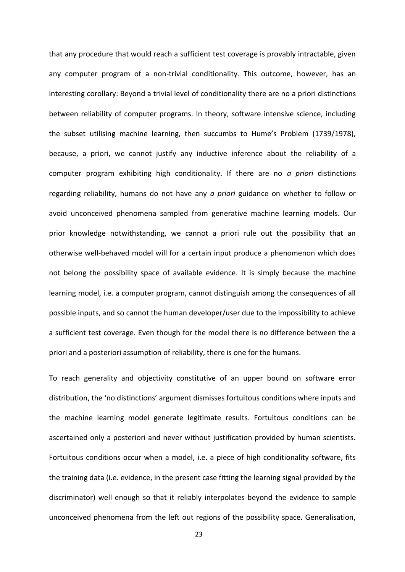that any procedure that would reach a sufficient test coverage is provably intractable, given any computer program of a non-trivial conditionality. This outcome, however, has an interesting corollary: Beyond a trivial level of conditionality there are no a priori distinctions between reliability of computer programs. In theory, software intensive science, including the subset utilising machine learning, then succumbs to Hume's Problem (1739/1978), because, a priori, we cannot justify any inductive inference about the reliability of a computer program exhibiting high conditionality. If there are no *a priori* distinctions regarding reliability, humans do not have any *a priori* guidance on whether to follow or avoid unconceived phenomena sampled from generative machine learning models. Our prior knowledge notwithstanding, we cannot a priori rule out the possibility that an otherwise well-behaved model will for a certain input produce a phenomenon which does not belong the possibility space of available evidence. It is simply because the machine learning model, i.e. a computer program, cannot distinguish among the consequences of all possible inputs, and so cannot the human developer/user due to the impossibility to achieve a sufficient test coverage. Even though for the model there is no difference between the a priori and a posteriori assumption of reliability, there is one for the humans.

To reach generality and objectivity constitutive of an upper bound on software error distribution, the 'no distinctions' argument dismisses fortuitous conditions where inputs and the machine learning model generate legitimate results. Fortuitous conditions can be ascertained only a posteriori and never without justification provided by human scientists. Fortuitous conditions occur when a model, i.e. a piece of high conditionality software, fits the training data (i.e. evidence, in the present case fitting the learning signal provided by the discriminator) well enough so that it reliably interpolates beyond the evidence to sample unconceived phenomena from the left out regions of the possibility space. Generalisation,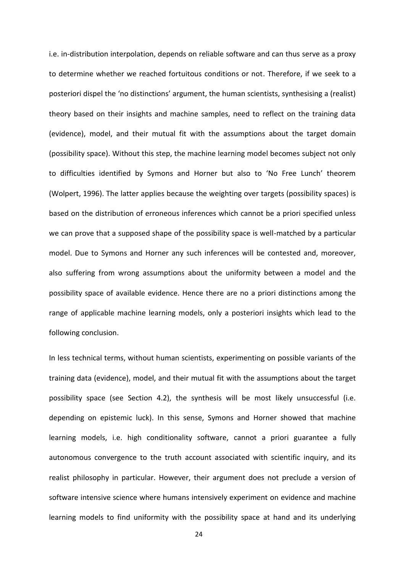i.e. in-distribution interpolation, depends on reliable software and can thus serve as a proxy to determine whether we reached fortuitous conditions or not. Therefore, if we seek to a posteriori dispel the 'no distinctions' argument, the human scientists, synthesising a (realist) theory based on their insights and machine samples, need to reflect on the training data (evidence), model, and their mutual fit with the assumptions about the target domain (possibility space). Without this step, the machine learning model becomes subject not only to difficulties identified by Symons and Horner but also to 'No Free Lunch' theorem (Wolpert, 1996). The latter applies because the weighting over targets (possibility spaces) is based on the distribution of erroneous inferences which cannot be a priori specified unless we can prove that a supposed shape of the possibility space is well-matched by a particular model. Due to Symons and Horner any such inferences will be contested and, moreover, also suffering from wrong assumptions about the uniformity between a model and the possibility space of available evidence. Hence there are no a priori distinctions among the range of applicable machine learning models, only a posteriori insights which lead to the following conclusion.

In less technical terms, without human scientists, experimenting on possible variants of the training data (evidence), model, and their mutual fit with the assumptions about the target possibility space (see Section 4.2), the synthesis will be most likely unsuccessful (i.e. depending on epistemic luck). In this sense, Symons and Horner showed that machine learning models, i.e. high conditionality software, cannot a priori guarantee a fully autonomous convergence to the truth account associated with scientific inquiry, and its realist philosophy in particular. However, their argument does not preclude a version of software intensive science where humans intensively experiment on evidence and machine learning models to find uniformity with the possibility space at hand and its underlying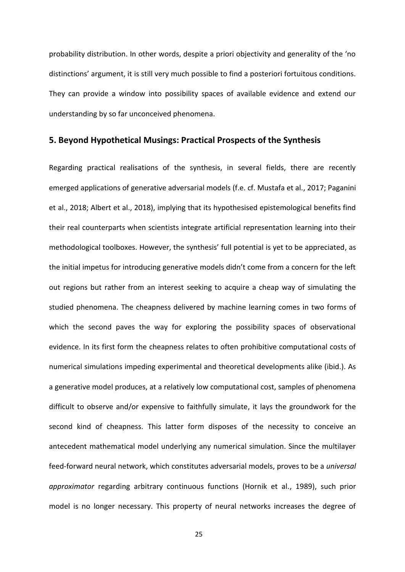probability distribution. In other words, despite a priori objectivity and generality of the 'no distinctions' argument, it is still very much possible to find a posteriori fortuitous conditions. They can provide a window into possibility spaces of available evidence and extend our understanding by so far unconceived phenomena.

#### **5. Beyond Hypothetical Musings: Practical Prospects of the Synthesis**

Regarding practical realisations of the synthesis, in several fields, there are recently emerged applications of generative adversarial models (f.e. cf. Mustafa et al., 2017; Paganini et al., 2018; Albert et al., 2018), implying that its hypothesised epistemological benefits find their real counterparts when scientists integrate artificial representation learning into their methodological toolboxes. However, the synthesis' full potential is yet to be appreciated, as the initial impetus for introducing generative models didn't come from a concern for the left out regions but rather from an interest seeking to acquire a cheap way of simulating the studied phenomena. The cheapness delivered by machine learning comes in two forms of which the second paves the way for exploring the possibility spaces of observational evidence. In its first form the cheapness relates to often prohibitive computational costs of numerical simulations impeding experimental and theoretical developments alike (ibid.). As a generative model produces, at a relatively low computational cost, samples of phenomena difficult to observe and/or expensive to faithfully simulate, it lays the groundwork for the second kind of cheapness. This latter form disposes of the necessity to conceive an antecedent mathematical model underlying any numerical simulation. Since the multilayer feed-forward neural network, which constitutes adversarial models, proves to be a *universal approximator* regarding arbitrary continuous functions (Hornik et al., 1989), such prior model is no longer necessary. This property of neural networks increases the degree of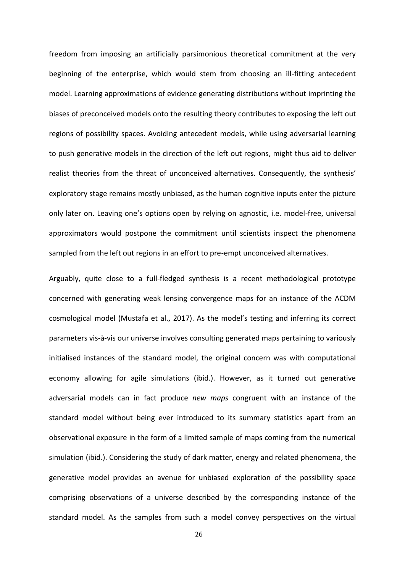freedom from imposing an artificially parsimonious theoretical commitment at the very beginning of the enterprise, which would stem from choosing an ill-fitting antecedent model. Learning approximations of evidence generating distributions without imprinting the biases of preconceived models onto the resulting theory contributes to exposing the left out regions of possibility spaces. Avoiding antecedent models, while using adversarial learning to push generative models in the direction of the left out regions, might thus aid to deliver realist theories from the threat of unconceived alternatives. Consequently, the synthesis' exploratory stage remains mostly unbiased, as the human cognitive inputs enter the picture only later on. Leaving one's options open by relying on agnostic, i.e. model-free, universal approximators would postpone the commitment until scientists inspect the phenomena sampled from the left out regions in an effort to pre-empt unconceived alternatives.

Arguably, quite close to a full-fledged synthesis is a recent methodological prototype concerned with generating weak lensing convergence maps for an instance of the ΛCDM cosmological model (Mustafa et al., 2017). As the model's testing and inferring its correct parameters vis-à-vis our universe involves consulting generated maps pertaining to variously initialised instances of the standard model, the original concern was with computational economy allowing for agile simulations (ibid.). However, as it turned out generative adversarial models can in fact produce *new maps* congruent with an instance of the standard model without being ever introduced to its summary statistics apart from an observational exposure in the form of a limited sample of maps coming from the numerical simulation (ibid.). Considering the study of dark matter, energy and related phenomena, the generative model provides an avenue for unbiased exploration of the possibility space comprising observations of a universe described by the corresponding instance of the standard model. As the samples from such a model convey perspectives on the virtual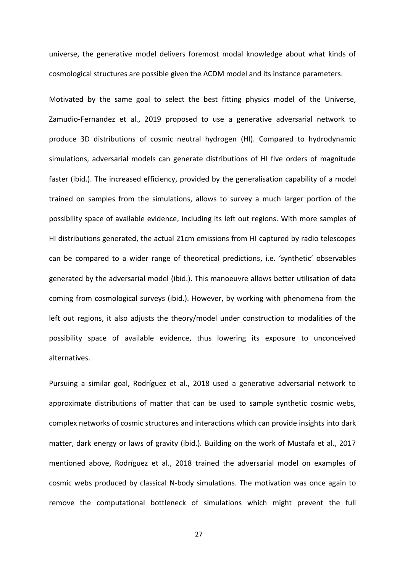universe, the generative model delivers foremost modal knowledge about what kinds of cosmological structures are possible given the ΛCDM model and its instance parameters.

Motivated by the same goal to select the best fitting physics model of the Universe, Zamudio-Fernandez et al., 2019 proposed to use a generative adversarial network to produce 3D distributions of cosmic neutral hydrogen (HI). Compared to hydrodynamic simulations, adversarial models can generate distributions of HI five orders of magnitude faster (ibid.). The increased efficiency, provided by the generalisation capability of a model trained on samples from the simulations, allows to survey a much larger portion of the possibility space of available evidence, including its left out regions. With more samples of HI distributions generated, the actual 21cm emissions from HI captured by radio telescopes can be compared to a wider range of theoretical predictions, i.e. 'synthetic' observables generated by the adversarial model (ibid.). This manoeuvre allows better utilisation of data coming from cosmological surveys (ibid.). However, by working with phenomena from the left out regions, it also adjusts the theory/model under construction to modalities of the possibility space of available evidence, thus lowering its exposure to unconceived alternatives.

Pursuing a similar goal, Rodríguez et al., 2018 used a generative adversarial network to approximate distributions of matter that can be used to sample synthetic cosmic webs, complex networks of cosmic structures and interactions which can provide insights into dark matter, dark energy or laws of gravity (ibid.). Building on the work of Mustafa et al., 2017 mentioned above, Rodríguez et al., 2018 trained the adversarial model on examples of cosmic webs produced by classical N-body simulations. The motivation was once again to remove the computational bottleneck of simulations which might prevent the full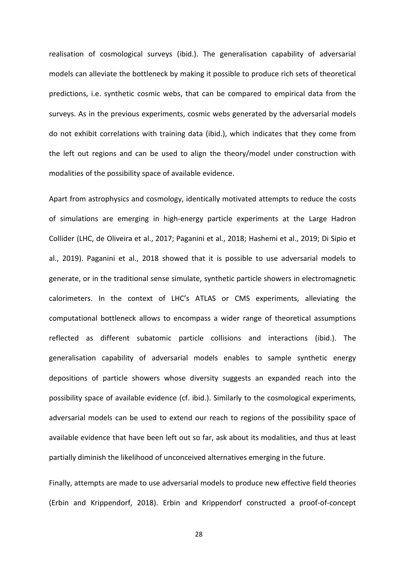realisation of cosmological surveys (ibid.). The generalisation capability of adversarial models can alleviate the bottleneck by making it possible to produce rich sets of theoretical predictions, i.e. synthetic cosmic webs, that can be compared to empirical data from the surveys. As in the previous experiments, cosmic webs generated by the adversarial models do not exhibit correlations with training data (ibid.), which indicates that they come from the left out regions and can be used to align the theory/model under construction with modalities of the possibility space of available evidence.

Apart from astrophysics and cosmology, identically motivated attempts to reduce the costs of simulations are emerging in high-energy particle experiments at the Large Hadron Collider (LHC, de Oliveira et al., 2017; Paganini et al., 2018; Hashemi et al., 2019; Di Sipio et al., 2019). Paganini et al., 2018 showed that it is possible to use adversarial models to generate, or in the traditional sense simulate, synthetic particle showers in electromagnetic calorimeters. In the context of LHC's ATLAS or CMS experiments, alleviating the computational bottleneck allows to encompass a wider range of theoretical assumptions reflected as different subatomic particle collisions and interactions (ibid.). The generalisation capability of adversarial models enables to sample synthetic energy depositions of particle showers whose diversity suggests an expanded reach into the possibility space of available evidence (cf. ibid.). Similarly to the cosmological experiments, adversarial models can be used to extend our reach to regions of the possibility space of available evidence that have been left out so far, ask about its modalities, and thus at least partially diminish the likelihood of unconceived alternatives emerging in the future.

Finally, attempts are made to use adversarial models to produce new effective field theories (Erbin and Krippendorf, 2018). Erbin and Krippendorf constructed a proof-of-concept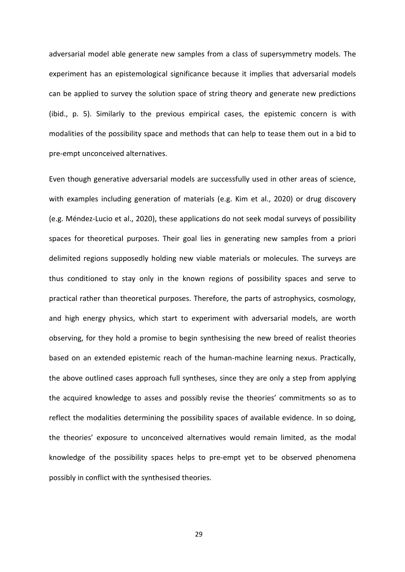adversarial model able generate new samples from a class of supersymmetry models. The experiment has an epistemological significance because it implies that adversarial models can be applied to survey the solution space of string theory and generate new predictions (ibid., p. 5). Similarly to the previous empirical cases, the epistemic concern is with modalities of the possibility space and methods that can help to tease them out in a bid to pre-empt unconceived alternatives.

Even though generative adversarial models are successfully used in other areas of science, with examples including generation of materials (e.g. Kim et al., 2020) or drug discovery (e.g. Méndez-Lucio et al., 2020), these applications do not seek modal surveys of possibility spaces for theoretical purposes. Their goal lies in generating new samples from a priori delimited regions supposedly holding new viable materials or molecules. The surveys are thus conditioned to stay only in the known regions of possibility spaces and serve to practical rather than theoretical purposes. Therefore, the parts of astrophysics, cosmology, and high energy physics, which start to experiment with adversarial models, are worth observing, for they hold a promise to begin synthesising the new breed of realist theories based on an extended epistemic reach of the human-machine learning nexus. Practically, the above outlined cases approach full syntheses, since they are only a step from applying the acquired knowledge to asses and possibly revise the theories' commitments so as to reflect the modalities determining the possibility spaces of available evidence. In so doing, the theories' exposure to unconceived alternatives would remain limited, as the modal knowledge of the possibility spaces helps to pre-empt yet to be observed phenomena possibly in conflict with the synthesised theories.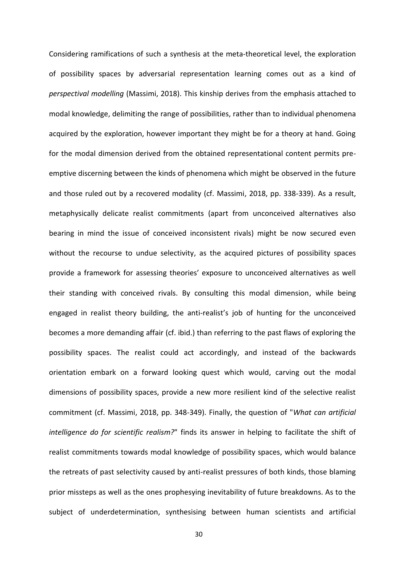Considering ramifications of such a synthesis at the meta-theoretical level, the exploration of possibility spaces by adversarial representation learning comes out as a kind of *perspectival modelling* (Massimi, 2018). This kinship derives from the emphasis attached to modal knowledge, delimiting the range of possibilities, rather than to individual phenomena acquired by the exploration, however important they might be for a theory at hand. Going for the modal dimension derived from the obtained representational content permits preemptive discerning between the kinds of phenomena which might be observed in the future and those ruled out by a recovered modality (cf. Massimi, 2018, pp. 338-339). As a result, metaphysically delicate realist commitments (apart from unconceived alternatives also bearing in mind the issue of conceived inconsistent rivals) might be now secured even without the recourse to undue selectivity, as the acquired pictures of possibility spaces provide a framework for assessing theories' exposure to unconceived alternatives as well their standing with conceived rivals. By consulting this modal dimension, while being engaged in realist theory building, the anti-realist's job of hunting for the unconceived becomes a more demanding affair (cf. ibid.) than referring to the past flaws of exploring the possibility spaces. The realist could act accordingly, and instead of the backwards orientation embark on a forward looking quest which would, carving out the modal dimensions of possibility spaces, provide a new more resilient kind of the selective realist commitment (cf. Massimi, 2018, pp. 348-349). Finally, the question of "*What can artificial intelligence do for scientific realism?*" finds its answer in helping to facilitate the shift of realist commitments towards modal knowledge of possibility spaces, which would balance the retreats of past selectivity caused by anti-realist pressures of both kinds, those blaming prior missteps as well as the ones prophesying inevitability of future breakdowns. As to the subject of underdetermination, synthesising between human scientists and artificial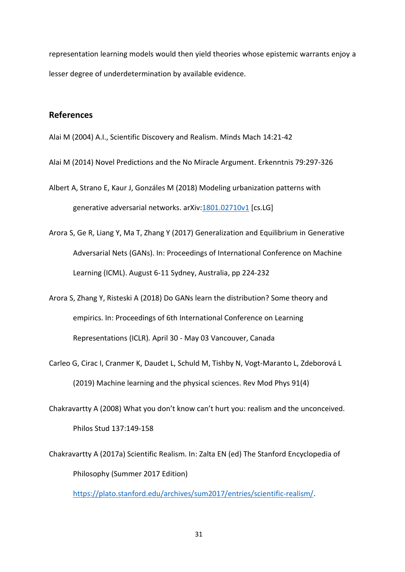representation learning models would then yield theories whose epistemic warrants enjoy a lesser degree of underdetermination by available evidence.

# **References**

Alai M (2004) A.I., Scientific Discovery and Realism. Minds Mach 14:21-42

Alai M (2014) Novel Predictions and the No Miracle Argument. Erkenntnis 79:297-326

Albert A, Strano E, Kaur J, Gonzáles M (2018) Modeling urbanization patterns with generative adversarial networks. arXiv[:1801.02710v1](https://arxiv.org/abs/1801.02710) [cs.LG]

- Arora S, Ge R, Liang Y, Ma T, Zhang Y (2017) Generalization and Equilibrium in Generative Adversarial Nets (GANs). In: Proceedings of International Conference on Machine Learning (ICML). August 6-11 Sydney, Australia, pp 224-232
- Arora S, Zhang Y, Risteski A (2018) Do GANs learn the distribution? Some theory and empirics. In: Proceedings of 6th International Conference on Learning Representations (ICLR)*.* April 30 - May 03 Vancouver, Canada
- Carleo G, Cirac I, Cranmer K, Daudet L, Schuld M, Tishby N, Vogt-Maranto L, Zdeborová L (2019) Machine learning and the physical sciences. Rev Mod Phys 91(4)
- Chakravartty A (2008) What you don't know can't hurt you: realism and the unconceived. Philos Stud 137:149-158
- Chakravartty A (2017a) Scientific Realism. In: Zalta EN (ed) The Stanford Encyclopedia of Philosophy (Summer 2017 Edition)

[https://plato.stanford.edu/archives/sum2017/entries/scientific-realism/.](https://plato.stanford.edu/archives/sum2017/entries/scientific-realism/)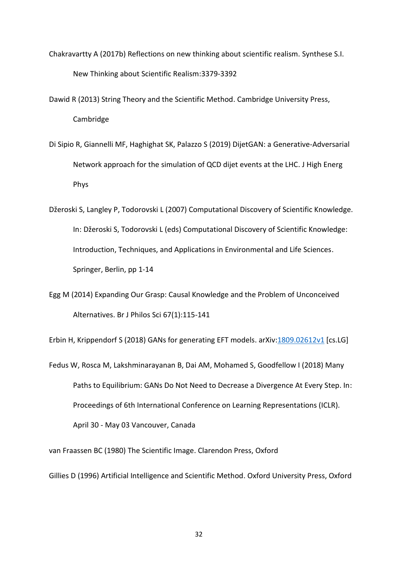Chakravartty A (2017b) Reflections on new thinking about scientific realism. Synthese S.I. New Thinking about Scientific Realism:3379-3392

Dawid R (2013) String Theory and the Scientific Method. Cambridge University Press, Cambridge

Di Sipio R, Giannelli MF, Haghighat SK, Palazzo S (2019) DijetGAN: a Generative-Adversarial Network approach for the simulation of QCD dijet events at the LHC. J High Energ Phys

Džeroski S, Langley P, Todorovski L (2007) Computational Discovery of Scientific Knowledge. In: Džeroski S, Todorovski L (eds) Computational Discovery of Scientific Knowledge: Introduction, Techniques, and Applications in Environmental and Life Sciences. Springer, Berlin, pp 1-14

Egg M (2014) Expanding Our Grasp: Causal Knowledge and the Problem of Unconceived Alternatives. Br J Philos Sci 67(1):115-141

Erbin H, Krippendorf S (2018) GANs for generating EFT models. arXiv: 1809.02612v1 [cs.LG]

Fedus W, Rosca M, Lakshminarayanan B, Dai AM, Mohamed S, Goodfellow I (2018) Many Paths to Equilibrium: GANs Do Not Need to Decrease a Divergence At Every Step. In: Proceedings of 6th International Conference on Learning Representations (ICLR)*.* April 30 - May 03 Vancouver, Canada

van Fraassen BC (1980) The Scientific Image. Clarendon Press, Oxford

Gillies D (1996) Artificial Intelligence and Scientific Method. Oxford University Press, Oxford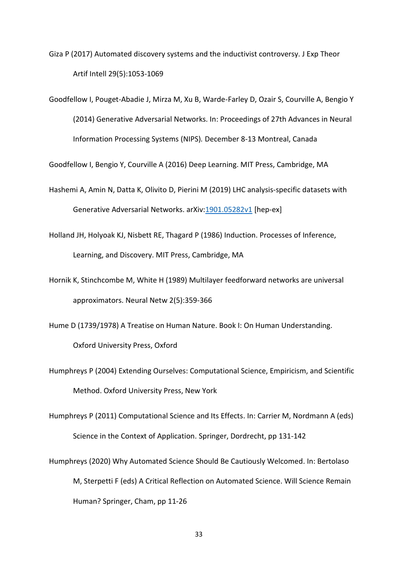Giza P (2017) Automated discovery systems and the inductivist controversy. J Exp Theor Artif Intell 29(5):1053-1069

Goodfellow I, Pouget-Abadie J, Mirza M, Xu B, Warde-Farley D, Ozair S, Courville A, Bengio Y (2014) Generative Adversarial Networks. In: Proceedings of 27th Advances in Neural Information Processing Systems (NIPS)*.* December 8-13 Montreal, Canada

Goodfellow I, Bengio Y, Courville A (2016) Deep Learning. MIT Press, Cambridge, MA

- Hashemi A, Amin N, Datta K, Olivito D, Pierini M (2019) LHC analysis-specific datasets with Generative Adversarial Networks. arXiv[:1901.05282v1](https://arxiv.org/abs/1901.05282) [hep-ex]
- Holland JH, Holyoak KJ, Nisbett RE, Thagard P (1986) Induction. Processes of Inference, Learning, and Discovery. MIT Press, Cambridge, MA
- Hornik K, Stinchcombe M, White H (1989) Multilayer feedforward networks are universal approximators. Neural Netw 2(5):359-366
- Hume D (1739/1978) A Treatise on Human Nature. Book I: On Human Understanding. Oxford University Press, Oxford
- Humphreys P (2004) Extending Ourselves: Computational Science, Empiricism, and Scientific Method. Oxford University Press, New York
- Humphreys P (2011) Computational Science and Its Effects. In: Carrier M, Nordmann A (eds) Science in the Context of Application. Springer, Dordrecht, pp 131-142
- Humphreys (2020) Why Automated Science Should Be Cautiously Welcomed. In: Bertolaso M, Sterpetti F (eds) A Critical Reflection on Automated Science. Will Science Remain Human? Springer, Cham, pp 11-26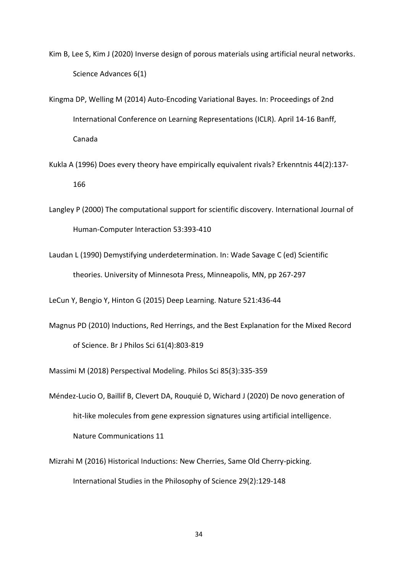Kim B, Lee S, Kim J (2020) Inverse design of porous materials using artificial neural networks. Science Advances 6(1)

Kingma DP, Welling M (2014) Auto-Encoding Variational Bayes. In: Proceedings of 2nd International Conference on Learning Representations (ICLR)*.* April 14-16 Banff, Canada

- Kukla A (1996) Does every theory have empirically equivalent rivals? Erkenntnis 44(2):137- 166
- Langley P (2000) The computational support for scientific discovery. International Journal of Human-Computer Interaction 53:393-410
- Laudan L (1990) Demystifying underdetermination. In: Wade Savage C (ed) Scientific theories. University of Minnesota Press, Minneapolis, MN, pp 267-297

LeCun Y, Bengio Y, Hinton G (2015) Deep Learning. Nature 521:436-44

Magnus PD (2010) Inductions, Red Herrings, and the Best Explanation for the Mixed Record of Science. Br J Philos Sci 61(4):803-819

Massimi M (2018) Perspectival Modeling. Philos Sci 85(3):335-359

- Méndez-Lucio O, Baillif B, Clevert DA, Rouquié D, Wichard J (2020) De novo generation of hit-like molecules from gene expression signatures using artificial intelligence. Nature Communications 11
- Mizrahi M (2016) Historical Inductions: New Cherries, Same Old Cherry-picking. International Studies in the Philosophy of Science 29(2):129-148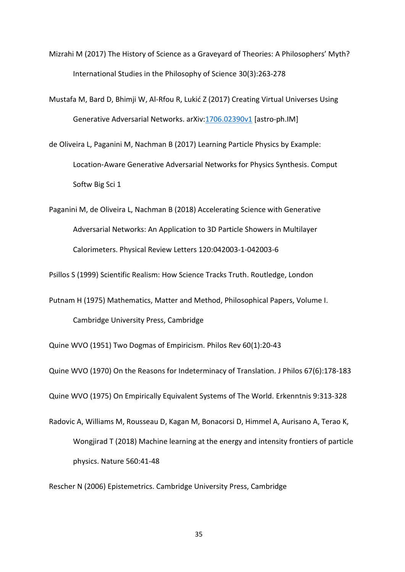Mizrahi M (2017) The History of Science as a Graveyard of Theories: A Philosophers' Myth? International Studies in the Philosophy of Science 30(3):263-278

Mustafa M, Bard D, Bhimji W, Al-Rfou R, Lukić Z (2017) Creating Virtual Universes Using Generative Adversarial Networks. arXiv[:1706.02390v1](https://arxiv.org/abs/1706.02390) [astro-ph.IM]

de Oliveira L, Paganini M, Nachman B (2017) Learning Particle Physics by Example: Location‑Aware Generative Adversarial Networks for Physics Synthesis. Comput Softw Big Sci 1

Paganini M, de Oliveira L, Nachman B (2018) Accelerating Science with Generative Adversarial Networks: An Application to 3D Particle Showers in Multilayer Calorimeters. Physical Review Letters 120:042003-1-042003-6

Psillos S (1999) Scientific Realism: How Science Tracks Truth. Routledge, London

Putnam H (1975) Mathematics, Matter and Method, Philosophical Papers, Volume I. Cambridge University Press, Cambridge

Quine WVO (1951) Two Dogmas of Empiricism. Philos Rev 60(1):20-43

Quine WVO (1970) On the Reasons for Indeterminacy of Translation. J Philos 67(6):178-183

Quine WVO (1975) On Empirically Equivalent Systems of The World. Erkenntnis 9:313-328

Radovic A, Williams M, Rousseau D, Kagan M, Bonacorsi D, Himmel A, Aurisano A, Terao K, Wongjirad T (2018) Machine learning at the energy and intensity frontiers of particle physics. Nature 560:41-48

Rescher N (2006) Epistemetrics. Cambridge University Press, Cambridge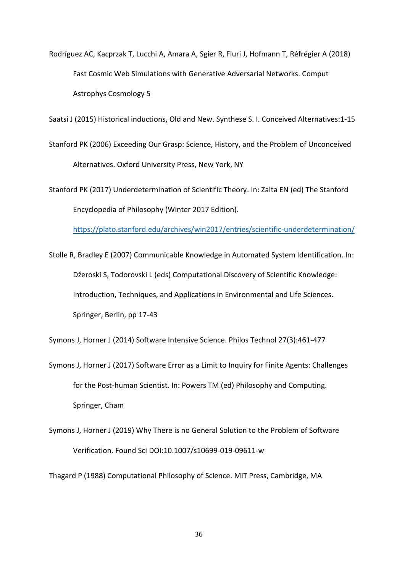Rodríguez AC, Kacprzak T, Lucchi A, Amara A, Sgier R, Fluri J, Hofmann T, Réfrégier A (2018) Fast Cosmic Web Simulations with Generative Adversarial Networks. Comput Astrophys Cosmology 5

Saatsi J (2015) Historical inductions, Old and New. Synthese S. I. Conceived Alternatives:1-15

Stanford PK (2006) Exceeding Our Grasp: Science, History, and the Problem of Unconceived Alternatives. Oxford University Press, New York, NY

Stanford PK (2017) Underdetermination of Scientific Theory. In: Zalta EN (ed) The Stanford Encyclopedia of Philosophy (Winter 2017 Edition).

<https://plato.stanford.edu/archives/win2017/entries/scientific-underdetermination/>

Stolle R, Bradley E (2007) Communicable Knowledge in Automated System Identification. In: Džeroski S, Todorovski L (eds) Computational Discovery of Scientific Knowledge: Introduction, Techniques, and Applications in Environmental and Life Sciences. Springer, Berlin, pp 17-43

Symons J, Horner J (2014) Software Intensive Science. Philos Technol 27(3):461-477

- Symons J, Horner J (2017) Software Error as a Limit to Inquiry for Finite Agents: Challenges for the Post-human Scientist. In: Powers TM (ed) Philosophy and Computing. Springer, Cham
- Symons J, Horner J (2019) Why There is no General Solution to the Problem of Software Verification. Found Sci DOI:10.1007/s10699-019-09611-w

Thagard P (1988) Computational Philosophy of Science. MIT Press, Cambridge, MA